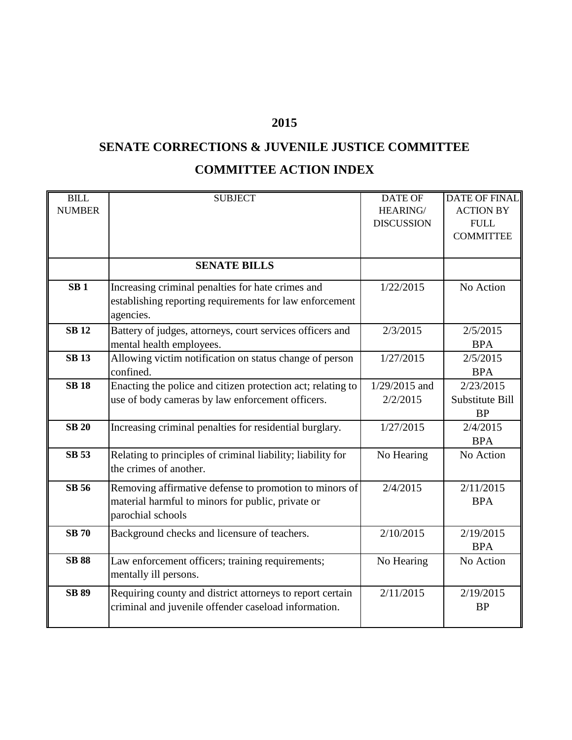## **2015**

## **SENATE CORRECTIONS & JUVENILE JUSTICE COMMITTEE COMMITTEE ACTION INDEX**

| <b>BILL</b>     | <b>SUBJECT</b>                                              | <b>DATE OF</b>    | <b>DATE OF FINAL</b> |
|-----------------|-------------------------------------------------------------|-------------------|----------------------|
| <b>NUMBER</b>   |                                                             | HEARING/          | <b>ACTION BY</b>     |
|                 |                                                             | <b>DISCUSSION</b> | ${\rm FULL}$         |
|                 |                                                             |                   | <b>COMMITTEE</b>     |
|                 |                                                             |                   |                      |
|                 | <b>SENATE BILLS</b>                                         |                   |                      |
| SB <sub>1</sub> |                                                             |                   |                      |
|                 | Increasing criminal penalties for hate crimes and           | 1/22/2015         | No Action            |
|                 | establishing reporting requirements for law enforcement     |                   |                      |
|                 | agencies.                                                   |                   |                      |
| <b>SB12</b>     | Battery of judges, attorneys, court services officers and   | 2/3/2015          | 2/5/2015             |
|                 | mental health employees.                                    |                   | <b>BPA</b>           |
| <b>SB13</b>     | Allowing victim notification on status change of person     | 1/27/2015         | 2/5/2015             |
|                 | confined.                                                   |                   | <b>BPA</b>           |
| <b>SB 18</b>    | Enacting the police and citizen protection act; relating to | $1/29/2015$ and   | 2/23/2015            |
|                 | use of body cameras by law enforcement officers.            | 2/2/2015          | Substitute Bill      |
|                 |                                                             |                   | <b>BP</b>            |
| <b>SB 20</b>    | Increasing criminal penalties for residential burglary.     | 1/27/2015         | 2/4/2015             |
|                 |                                                             |                   | <b>BPA</b>           |
| <b>SB 53</b>    |                                                             |                   |                      |
|                 | Relating to principles of criminal liability; liability for | No Hearing        | No Action            |
|                 | the crimes of another.                                      |                   |                      |
| <b>SB 56</b>    | Removing affirmative defense to promotion to minors of      | 2/4/2015          | 2/11/2015            |
|                 | material harmful to minors for public, private or           |                   | <b>BPA</b>           |
|                 | parochial schools                                           |                   |                      |
|                 |                                                             |                   |                      |
| <b>SB 70</b>    | Background checks and licensure of teachers.                | 2/10/2015         | 2/19/2015            |
|                 |                                                             |                   | <b>BPA</b>           |
| <b>SB 88</b>    | Law enforcement officers; training requirements;            | No Hearing        | No Action            |
|                 | mentally ill persons.                                       |                   |                      |
| <b>SB 89</b>    | Requiring county and district attorneys to report certain   | 2/11/2015         | 2/19/2015            |
|                 | criminal and juvenile offender caseload information.        |                   | <b>BP</b>            |
|                 |                                                             |                   |                      |
|                 |                                                             |                   |                      |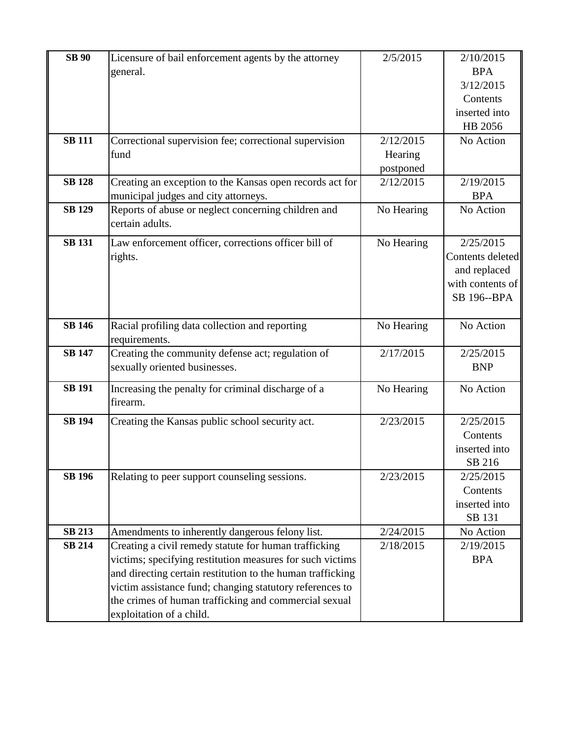| <b>SB</b> 90  | Licensure of bail enforcement agents by the attorney           | 2/5/2015   | 2/10/2015        |
|---------------|----------------------------------------------------------------|------------|------------------|
|               | general.                                                       |            | <b>BPA</b>       |
|               |                                                                |            | 3/12/2015        |
|               |                                                                |            | Contents         |
|               |                                                                |            | inserted into    |
|               |                                                                |            | HB 2056          |
| <b>SB 111</b> | Correctional supervision fee; correctional supervision         | 2/12/2015  | No Action        |
|               | fund                                                           | Hearing    |                  |
|               |                                                                | postponed  |                  |
| <b>SB 128</b> | Creating an exception to the Kansas open records act for       | 2/12/2015  | 2/19/2015        |
|               | municipal judges and city attorneys.                           |            | <b>BPA</b>       |
| <b>SB 129</b> | Reports of abuse or neglect concerning children and            | No Hearing | No Action        |
|               | certain adults.                                                |            |                  |
| <b>SB 131</b> | Law enforcement officer, corrections officer bill of           | No Hearing | 2/25/2015        |
|               | rights.                                                        |            | Contents deleted |
|               |                                                                |            | and replaced     |
|               |                                                                |            | with contents of |
|               |                                                                |            | SB 196--BPA      |
|               |                                                                |            |                  |
| <b>SB 146</b> | Racial profiling data collection and reporting                 | No Hearing | No Action        |
|               | requirements.                                                  |            |                  |
| <b>SB 147</b> | Creating the community defense act; regulation of              | 2/17/2015  | 2/25/2015        |
|               | sexually oriented businesses.                                  |            | <b>BNP</b>       |
| <b>SB 191</b> |                                                                |            |                  |
|               | Increasing the penalty for criminal discharge of a<br>firearm. | No Hearing | No Action        |
|               |                                                                |            |                  |
| <b>SB 194</b> | Creating the Kansas public school security act.                | 2/23/2015  | 2/25/2015        |
|               |                                                                |            | Contents         |
|               |                                                                |            | inserted into    |
|               |                                                                |            | SB 216           |
| <b>SB 196</b> | Relating to peer support counseling sessions.                  | 2/23/2015  | 2/25/2015        |
|               |                                                                |            | Contents         |
|               |                                                                |            | inserted into    |
|               |                                                                |            | SB 131           |
| <b>SB 213</b> | Amendments to inherently dangerous felony list.                | 2/24/2015  | No Action        |
| <b>SB 214</b> | Creating a civil remedy statute for human trafficking          | 2/18/2015  | 2/19/2015        |
|               | victims; specifying restitution measures for such victims      |            | <b>BPA</b>       |
|               | and directing certain restitution to the human trafficking     |            |                  |
|               | victim assistance fund; changing statutory references to       |            |                  |
|               | the crimes of human trafficking and commercial sexual          |            |                  |
|               | exploitation of a child.                                       |            |                  |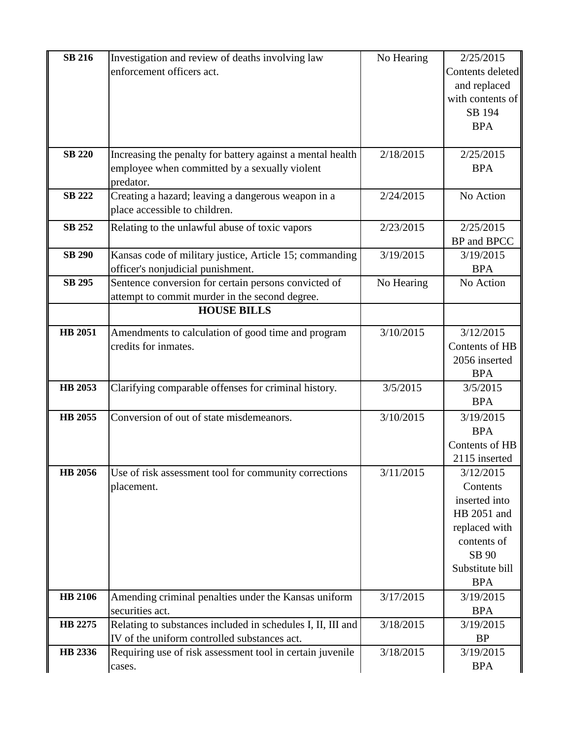| <b>SB 216</b>  | Investigation and review of deaths involving law            | No Hearing | 2/25/2015        |
|----------------|-------------------------------------------------------------|------------|------------------|
|                | enforcement officers act.                                   |            | Contents deleted |
|                |                                                             |            | and replaced     |
|                |                                                             |            | with contents of |
|                |                                                             |            | SB 194           |
|                |                                                             |            | <b>BPA</b>       |
|                |                                                             |            |                  |
| <b>SB 220</b>  | Increasing the penalty for battery against a mental health  | 2/18/2015  | 2/25/2015        |
|                | employee when committed by a sexually violent               |            | <b>BPA</b>       |
|                | predator.                                                   |            |                  |
| <b>SB 222</b>  | Creating a hazard; leaving a dangerous weapon in a          | 2/24/2015  | No Action        |
|                | place accessible to children.                               |            |                  |
| <b>SB 252</b>  | Relating to the unlawful abuse of toxic vapors              | 2/23/2015  | 2/25/2015        |
|                |                                                             |            | BP and BPCC      |
| <b>SB 290</b>  | Kansas code of military justice, Article 15; commanding     | 3/19/2015  | 3/19/2015        |
|                | officer's nonjudicial punishment.                           |            | <b>BPA</b>       |
| <b>SB 295</b>  | Sentence conversion for certain persons convicted of        | No Hearing | No Action        |
|                | attempt to commit murder in the second degree.              |            |                  |
|                | <b>HOUSE BILLS</b>                                          |            |                  |
| HB 2051        | Amendments to calculation of good time and program          | 3/10/2015  | 3/12/2015        |
|                | credits for inmates.                                        |            | Contents of HB   |
|                |                                                             |            | 2056 inserted    |
|                |                                                             |            | <b>BPA</b>       |
| HB 2053        | Clarifying comparable offenses for criminal history.        | 3/5/2015   | 3/5/2015         |
|                |                                                             |            | <b>BPA</b>       |
| <b>HB 2055</b> | Conversion of out of state misdemeanors.                    | 3/10/2015  | 3/19/2015        |
|                |                                                             |            | <b>BPA</b>       |
|                |                                                             |            | Contents of HB   |
|                |                                                             |            | 2115 inserted    |
| <b>HB</b> 2056 | Use of risk assessment tool for community corrections       | 3/11/2015  | 3/12/2015        |
|                | placement.                                                  |            | Contents         |
|                |                                                             |            | inserted into    |
|                |                                                             |            | HB 2051 and      |
|                |                                                             |            | replaced with    |
|                |                                                             |            | contents of      |
|                |                                                             |            | SB 90            |
|                |                                                             |            | Substitute bill  |
|                |                                                             |            | <b>BPA</b>       |
| HB 2106        | Amending criminal penalties under the Kansas uniform        | 3/17/2015  | 3/19/2015        |
|                | securities act.                                             |            | <b>BPA</b>       |
| HB 2275        | Relating to substances included in schedules I, II, III and | 3/18/2015  | 3/19/2015        |
|                | IV of the uniform controlled substances act.                |            | <b>BP</b>        |
| HB 2336        | Requiring use of risk assessment tool in certain juvenile   | 3/18/2015  | 3/19/2015        |
|                | cases.                                                      |            | <b>BPA</b>       |